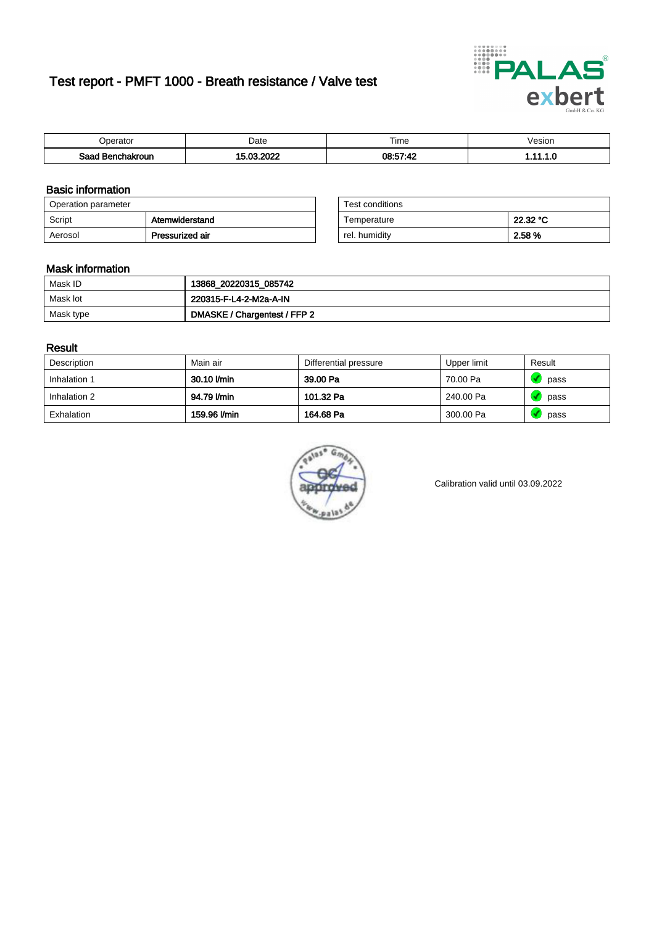# Test report - PMFT 1000 - Breath resistance / Valve test



| )perator               | Date                                    | $- \cdot$<br>Fime | esion |
|------------------------|-----------------------------------------|-------------------|-------|
| המס<br>hakroun<br>32 H | 0000<br>ຸດຕ<br>$\overline{\phantom{a}}$ | 08:57:42          | .     |

### Basic information

| Operation parameter |                 | Test conditions |          |
|---------------------|-----------------|-----------------|----------|
| Script              | Atemwiderstand  | Temperature     | 22.32 °C |
| Aerosol             | Pressurized air | rel. humidity   | 2.58 %   |

| Test conditions |          |
|-----------------|----------|
| Temperature     | 22.32 °C |
| rel. humidity   | 2.58%    |

### Mask information

| Mask ID   | 13868_20220315_085742        |
|-----------|------------------------------|
| Mask lot  | 220315-F-L4-2-M2a-A-IN       |
| Mask type | DMASKE / Chargentest / FFP 2 |

### Result

| Description  | Main air     | Differential pressure | Upper limit | Result |
|--------------|--------------|-----------------------|-------------|--------|
| Inhalation 1 | 30.10 l/min  | 39.00 Pa              | 70.00 Pa    | pass   |
| Inhalation 2 | 94.79 I/min  | 101.32 Pa             | 240.00 Pa   | pass   |
| Exhalation   | 159.96 l/min | 164.68 Pa             | 300.00 Pa   | pass   |



Calibration valid until 03.09.2022